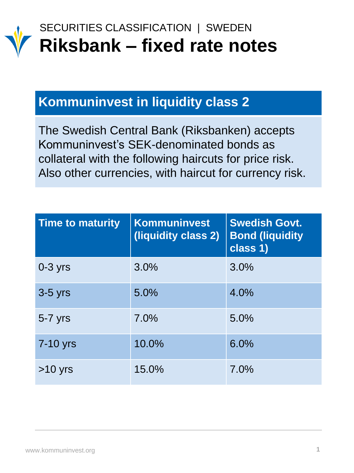

### SECURITIES CLASSIFICATION | SWEDEN **Riksbank – fixed rate notes**

### **Kommuninvest in liquidity class 2**

The Swedish Central Bank (Riksbanken) accepts Kommuninvest's SEK-denominated bonds as collateral with the following haircuts for price risk. Also other currencies, with haircut for currency risk.

| <b>Time to maturity</b> | <b>Kommuninvest</b><br>(liquidity class 2) | <b>Swedish Govt.</b><br><b>Bond (liquidity</b><br>class 1) |
|-------------------------|--------------------------------------------|------------------------------------------------------------|
| $0-3$ yrs               | 3.0%                                       | 3.0%                                                       |
| $3-5$ yrs               | 5.0%                                       | 4.0%                                                       |
| $5-7$ yrs               | 7.0%                                       | 5.0%                                                       |
| 7-10 yrs                | 10.0%                                      | 6.0%                                                       |
| $>10$ yrs               | 15.0%                                      | 7.0%                                                       |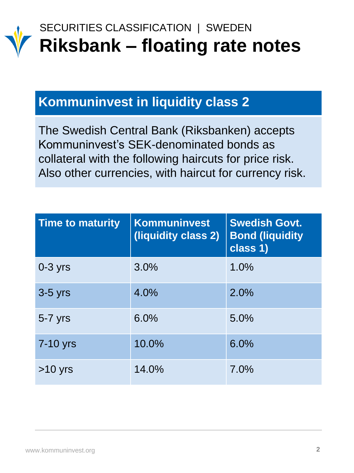

# SECURITIES CLASSIFICATION | SWEDEN **Riksbank – floating rate notes**

### **Kommuninvest in liquidity class 2**

The Swedish Central Bank (Riksbanken) accepts Kommuninvest's SEK-denominated bonds as collateral with the following haircuts for price risk. Also other currencies, with haircut for currency risk.

| <b>Time to maturity</b> | <b>Kommuninvest</b><br>(liquidity class 2) | <b>Swedish Govt.</b><br><b>Bond (liquidity</b><br>class 1) |
|-------------------------|--------------------------------------------|------------------------------------------------------------|
| $0-3$ yrs               | 3.0%                                       | 1.0%                                                       |
| $3-5$ yrs               | 4.0%                                       | 2.0%                                                       |
| $5-7$ yrs               | 6.0%                                       | 5.0%                                                       |
| 7-10 yrs                | 10.0%                                      | 6.0%                                                       |
| $>10$ yrs               | 14.0%                                      | 7.0%                                                       |